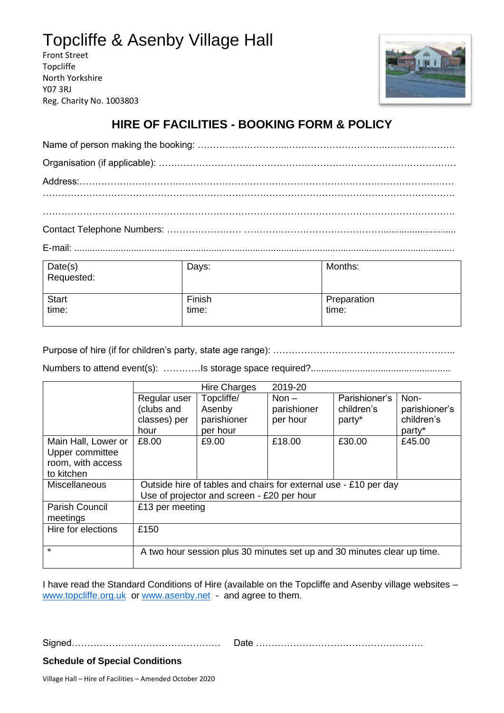## Topcliffe & Asenby Village Hall

Front Street Topcliffe North Yorkshire Y07 3RJ Reg. Charity No. 1003803



## **HIRE OF FACILITIES - BOOKING FORM & POLICY**

E-mail: ...................................................................................................................................................

| Date(s)<br>Requested: | Days:  | Months:     |
|-----------------------|--------|-------------|
| <b>Start</b>          | Finish | Preparation |
| time:                 | time:  | time:       |

Purpose of hire (if for children's party, state age range): …………………………………………………..

Numbers to attend event(s): …………Is storage space required?......................................................

|                       |                                                                         | <b>Hire Charges</b> | 2019-20     |               |               |
|-----------------------|-------------------------------------------------------------------------|---------------------|-------------|---------------|---------------|
|                       | Regular user                                                            | Topcliffe/          | Non $-$     | Parishioner's | Non-          |
|                       | (clubs and                                                              | Asenby              | parishioner | children's    | parishioner's |
|                       | classes) per                                                            | parishioner         | per hour    | party*        | children's    |
|                       | hour                                                                    | per hour            |             |               | party*        |
| Main Hall, Lower or   | £8.00                                                                   | £9.00               | £18.00      | £30.00        | £45.00        |
| Upper committee       |                                                                         |                     |             |               |               |
| room, with access     |                                                                         |                     |             |               |               |
| to kitchen            |                                                                         |                     |             |               |               |
| <b>Miscellaneous</b>  | Outside hire of tables and chairs for external use - £10 per day        |                     |             |               |               |
|                       | Use of projector and screen - £20 per hour                              |                     |             |               |               |
| <b>Parish Council</b> | £13 per meeting                                                         |                     |             |               |               |
| meetings              |                                                                         |                     |             |               |               |
| Hire for elections    | £150                                                                    |                     |             |               |               |
|                       |                                                                         |                     |             |               |               |
| $\star$               | A two hour session plus 30 minutes set up and 30 minutes clear up time. |                     |             |               |               |
|                       |                                                                         |                     |             |               |               |

I have read the Standard Conditions of Hire (available on the Topcliffe and Asenby village websites – [www.topcliffe.o](http://www.topcliffe./)rg.uk or [www.asenby.net](http://www.asenby.net/) - and agree to them.

Signed………………………………………… Date ………………………………………………

**Schedule of Special Conditions**

Village Hall – Hire of Facilities – Amended October 2020